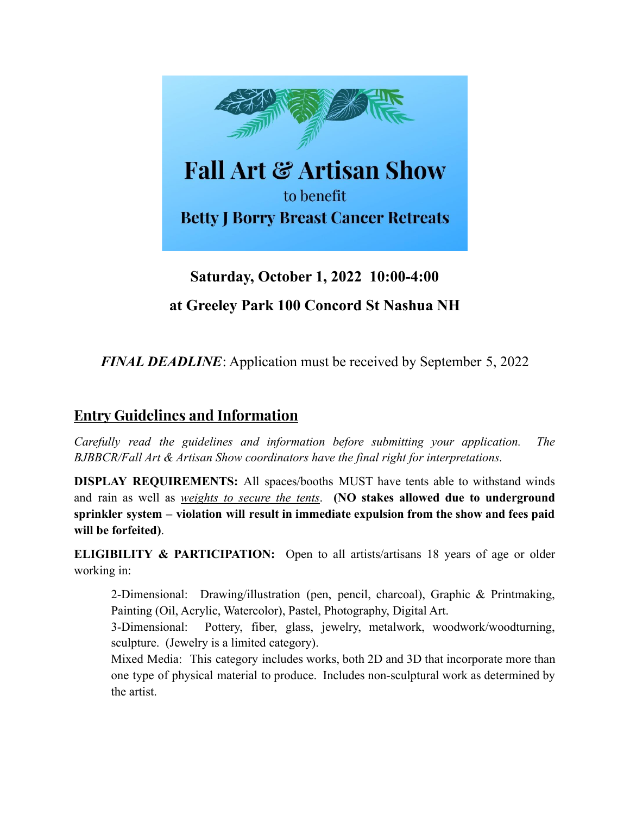

# **Saturday, October 1, 2022 10:00-4:00 at Greeley Park 100 Concord St Nashua NH**

*FINAL DEADLINE*: Application must be received by September 5, 2022

## **Entry Guidelines and Information**

*Carefully read the guidelines and information before submitting your application. The BJBBCR/Fall Art & Artisan Show coordinators have the final right for interpretations.*

**DISPLAY REQUIREMENTS:** All spaces/booths MUST have tents able to withstand winds and rain as well as *weights to secure the tents*. **(NO stakes allowed due to underground sprinkler system – violation will result in immediate expulsion from the show and fees paid will be forfeited)**.

**ELIGIBILITY & PARTICIPATION:** Open to all artists/artisans 18 years of age or older working in:

2-Dimensional: Drawing/illustration (pen, pencil, charcoal), Graphic & Printmaking, Painting (Oil, Acrylic, Watercolor), Pastel, Photography, Digital Art.

3-Dimensional: Pottery, fiber, glass, jewelry, metalwork, woodwork/woodturning, sculpture. (Jewelry is a limited category).

Mixed Media: This category includes works, both 2D and 3D that incorporate more than one type of physical material to produce. Includes non-sculptural work as determined by the artist.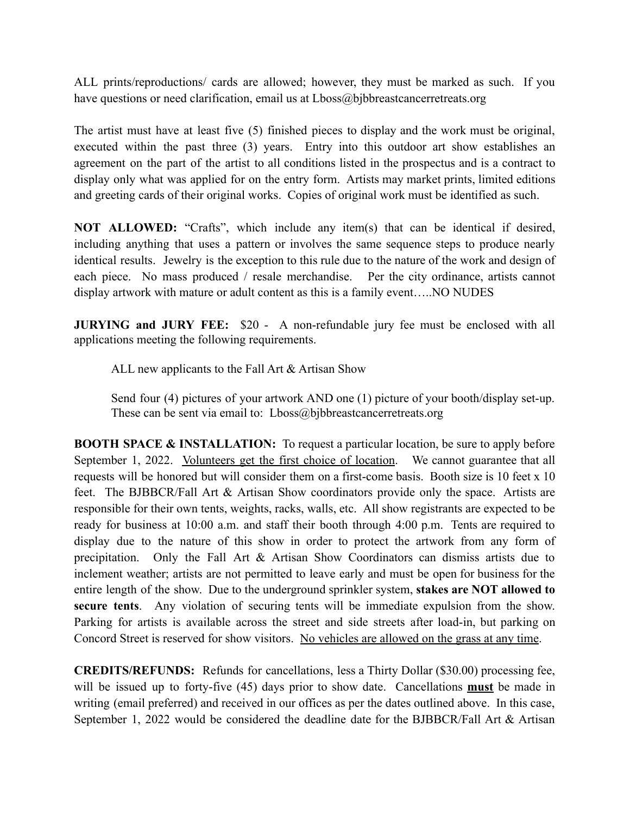ALL prints/reproductions/ cards are allowed; however, they must be marked as such. If you have questions or need clarification, email us at Lboss@bibbreastcancerretreats.org

The artist must have at least five (5) finished pieces to display and the work must be original, executed within the past three (3) years. Entry into this outdoor art show establishes an agreement on the part of the artist to all conditions listed in the prospectus and is a contract to display only what was applied for on the entry form. Artists may market prints, limited editions and greeting cards of their original works. Copies of original work must be identified as such.

**NOT ALLOWED:** "Crafts", which include any item(s) that can be identical if desired, including anything that uses a pattern or involves the same sequence steps to produce nearly identical results. Jewelry is the exception to this rule due to the nature of the work and design of each piece. No mass produced / resale merchandise. Per the city ordinance, artists cannot display artwork with mature or adult content as this is a family event…..NO NUDES

**JURYING and JURY FEE:** \$20 - A non-refundable jury fee must be enclosed with all applications meeting the following requirements.

ALL new applicants to the Fall Art & Artisan Show

Send four (4) pictures of your artwork AND one (1) picture of your booth/display set-up. These can be sent via email to: Lboss@bjbbreastcancerretreats.org

**BOOTH SPACE & INSTALLATION:** To request a particular location, be sure to apply before September 1, 2022. Volunteers get the first choice of location. We cannot guarantee that all requests will be honored but will consider them on a first-come basis. Booth size is 10 feet x 10 feet. The BJBBCR/Fall Art & Artisan Show coordinators provide only the space. Artists are responsible for their own tents, weights, racks, walls, etc. All show registrants are expected to be ready for business at 10:00 a.m. and staff their booth through 4:00 p.m. Tents are required to display due to the nature of this show in order to protect the artwork from any form of precipitation. Only the Fall Art & Artisan Show Coordinators can dismiss artists due to inclement weather; artists are not permitted to leave early and must be open for business for the entire length of the show. Due to the underground sprinkler system, **stakes are NOT allowed to secure tents**. Any violation of securing tents will be immediate expulsion from the show. Parking for artists is available across the street and side streets after load-in, but parking on Concord Street is reserved for show visitors. No vehicles are allowed on the grass at any time.

**CREDITS/REFUNDS:** Refunds for cancellations, less a Thirty Dollar (\$30.00) processing fee, will be issued up to forty-five (45) days prior to show date. Cancellations **must** be made in writing (email preferred) and received in our offices as per the dates outlined above. In this case, September 1, 2022 would be considered the deadline date for the BJBBCR/Fall Art & Artisan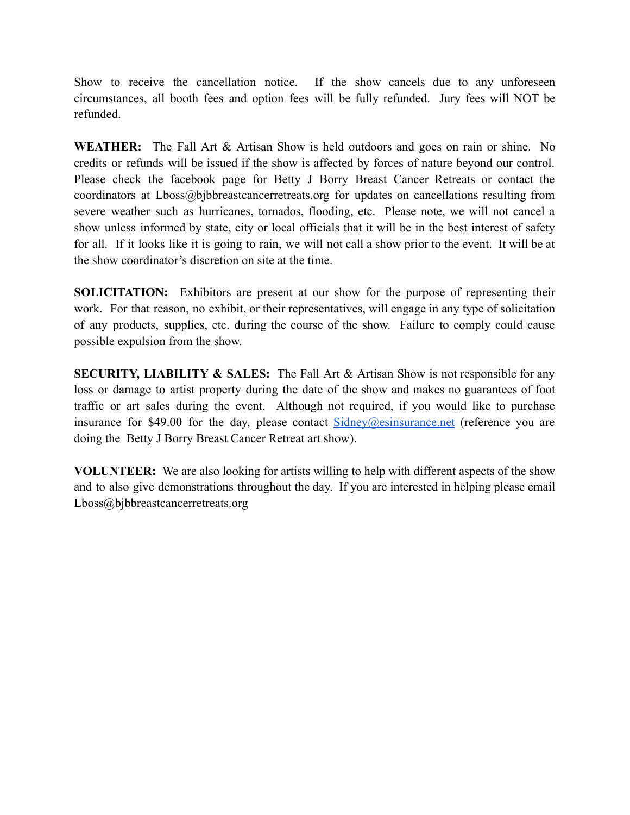Show to receive the cancellation notice. If the show cancels due to any unforeseen circumstances, all booth fees and option fees will be fully refunded. Jury fees will NOT be refunded.

**WEATHER:** The Fall Art & Artisan Show is held outdoors and goes on rain or shine. No credits or refunds will be issued if the show is affected by forces of nature beyond our control. Please check the facebook page for Betty J Borry Breast Cancer Retreats or contact the coordinators at Lboss@bjbbreastcancerretreats.org for updates on cancellations resulting from severe weather such as hurricanes, tornados, flooding, etc. Please note, we will not cancel a show unless informed by state, city or local officials that it will be in the best interest of safety for all. If it looks like it is going to rain, we will not call a show prior to the event. It will be at the show coordinator's discretion on site at the time.

**SOLICITATION:** Exhibitors are present at our show for the purpose of representing their work. For that reason, no exhibit, or their representatives, will engage in any type of solicitation of any products, supplies, etc. during the course of the show. Failure to comply could cause possible expulsion from the show.

**SECURITY, LIABILITY & SALES:** The Fall Art & Artisan Show is not responsible for any loss or damage to artist property during the date of the show and makes no guarantees of foot traffic or art sales during the event. Although not required, if you would like to purchase insurance for \$49.00 for the day, please contact [Sidney@esinsurance.net](mailto:Sidney@esinsurance.net) (reference you are doing the Betty J Borry Breast Cancer Retreat art show).

**VOLUNTEER:** We are also looking for artists willing to help with different aspects of the show and to also give demonstrations throughout the day. If you are interested in helping please email Lboss@bjbbreastcancerretreats.org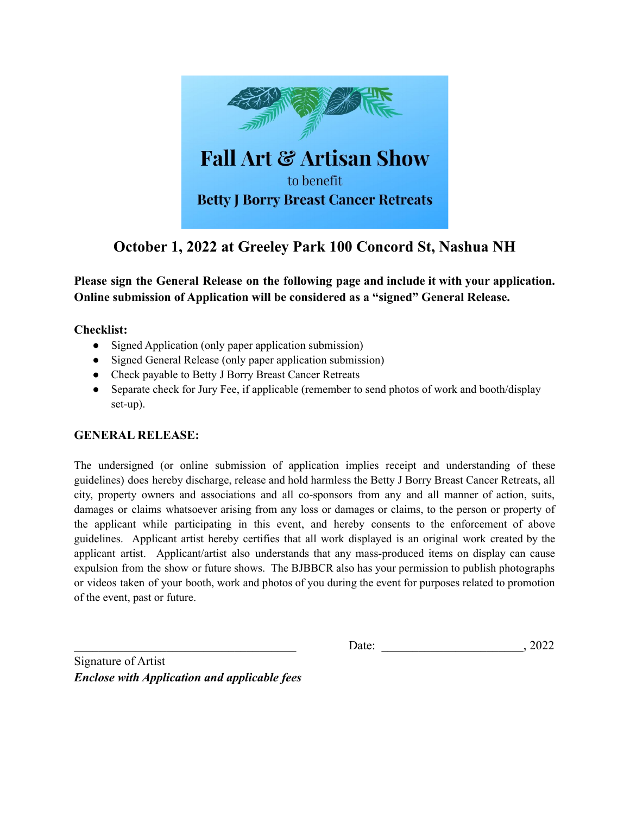

### **October 1, 2022 at Greeley Park 100 Concord St, Nashua NH**

**Please sign the General Release on the following page and include it with your application. Online submission of Application will be considered as a "signed" General Release.**

**Checklist:**

- Signed Application (only paper application submission)
- Signed General Release (only paper application submission)
- Check payable to Betty J Borry Breast Cancer Retreats
- Separate check for Jury Fee, if applicable (remember to send photos of work and booth/display set-up).

#### **GENERAL RELEASE:**

The undersigned (or online submission of application implies receipt and understanding of these guidelines) does hereby discharge, release and hold harmless the Betty J Borry Breast Cancer Retreats, all city, property owners and associations and all co-sponsors from any and all manner of action, suits, damages or claims whatsoever arising from any loss or damages or claims, to the person or property of the applicant while participating in this event, and hereby consents to the enforcement of above guidelines. Applicant artist hereby certifies that all work displayed is an original work created by the applicant artist. Applicant/artist also understands that any mass-produced items on display can cause expulsion from the show or future shows. The BJBBCR also has your permission to publish photographs or videos taken of your booth, work and photos of you during the event for purposes related to promotion of the event, past or future.

Date: 2022

Signature of Artist *Enclose with Application and applicable fees*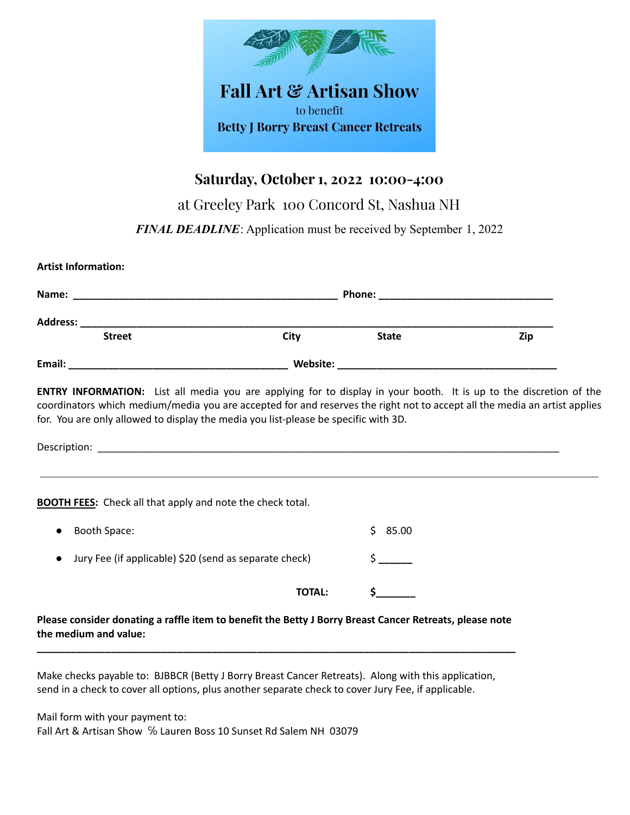

#### **Saturday, October 1, 2022 10:00-4:00**

at Greeley Park 100 Concord St, Nashua NH

*FINAL DEADLINE*: Application must be received by September 1, 2022

| <b>Street</b>                                                                                                                                                                                                                                          | City | <b>State</b>       | Zip |
|--------------------------------------------------------------------------------------------------------------------------------------------------------------------------------------------------------------------------------------------------------|------|--------------------|-----|
|                                                                                                                                                                                                                                                        |      |                    |     |
| <b>ENTRY INFORMATION:</b> List all media you are applying for to display in your booth. It is up to the discretion of the<br>coordinators which medium/media you are accepted for and reserves the right not to accept all the media an artist applies |      |                    |     |
|                                                                                                                                                                                                                                                        |      |                    |     |
| for. You are only allowed to display the media you list-please be specific with 3D.<br><b>BOOTH FEES:</b> Check all that apply and note the check total.                                                                                               |      |                    |     |
| <b>Booth Space:</b>                                                                                                                                                                                                                                    |      | \$85.00            |     |
| Jury Fee (if applicable) \$20 (send as separate check)                                                                                                                                                                                                 |      | $\mathsf{\dot{S}}$ |     |

Make checks payable to: BJBBCR (Betty J Borry Breast Cancer Retreats). Along with this application, send in a check to cover all options, plus another separate check to cover Jury Fee, if applicable.

**\_\_\_\_\_\_\_\_\_\_\_\_\_\_\_\_\_\_\_\_\_\_\_\_\_\_\_\_\_\_\_\_\_\_\_\_\_\_\_\_\_\_\_\_\_\_\_\_\_\_\_\_\_\_\_\_\_\_\_\_\_\_\_\_\_\_\_\_\_\_\_\_\_\_\_\_\_\_\_\_\_\_\_\_\_**

Mail form with your payment to: Fall Art & Artisan Show ℅ Lauren Boss 10 Sunset Rd Salem NH 03079